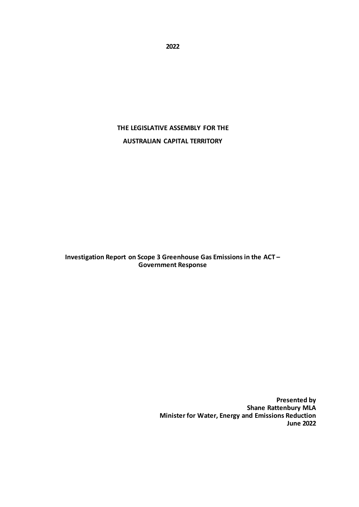**2022**

# **THE LEGISLATIVE ASSEMBLY FOR THE AUSTRALIAN CAPITAL TERRITORY**

**Investigation Report on Scope 3 Greenhouse Gas Emissions in the ACT – Government Response**

> **Presented by Shane Rattenbury MLA Minister for Water, Energy and Emissions Reduction June 2022**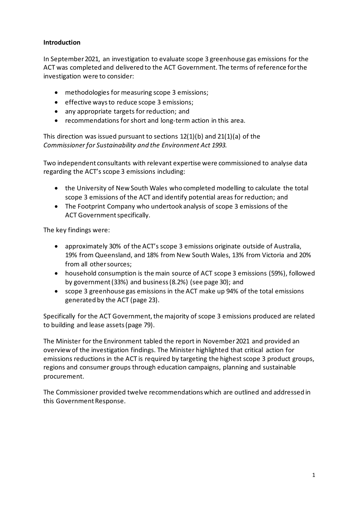## **Introduction**

In September 2021, an investigation to evaluate scope 3 greenhouse gas emissions for the ACT was completed and delivered to the ACT Government. The terms of reference for the investigation were to consider:

- methodologies for measuring scope 3 emissions;
- effective ways to reduce scope 3 emissions;
- any appropriate targets for reduction; and
- recommendations for short and long-term action in this area.

This direction was issued pursuant to sections 12(1)(b) and 21(1)(a) of the *Commissioner for Sustainability and the Environment Act 1993.*

Two independent consultants with relevant expertise were commissioned to analyse data regarding the ACT's scope 3 emissions including:

- the University of New South Wales who completed modelling to calculate the total scope 3 emissions of the ACT and identify potential areas for reduction; and
- The Footprint Company who undertook analysis of scope 3 emissions of the ACT Government specifically.

The key findings were:

- approximately 30% of the ACT's scope 3 emissions originate outside of Australia, 19% from Queensland, and 18% from New South Wales, 13% from Victoria and 20% from all other sources;
- household consumption is the main source of ACT scope 3 emissions (59%), followed by government (33%) and business (8.2%) (see page 30); and
- scope 3 greenhouse gas emissions in the ACT make up 94% of the total emissions generated by the ACT (page 23).

Specifically for the ACT Government, the majority of scope 3 emissions produced are related to building and lease assets (page 79).

The Minister for the Environment tabled the report in November 2021 and provided an overview of the investigation findings. The Minister highlighted that critical action for emissions reductions in the ACT is required by targeting the highest scope 3 product groups, regions and consumer groups through education campaigns, planning and sustainable procurement.

The Commissioner provided twelve recommendations which are outlined and addressed in this Government Response.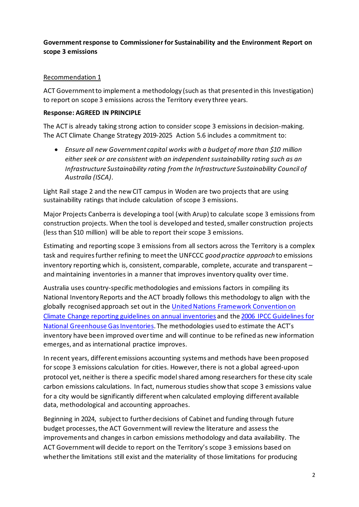# **Government response to Commissioner for Sustainability and the Environment Report on scope 3 emissions**

# Recommendation 1

ACT Government to implement a methodology (such as that presented in this Investigation) to report on scope 3 emissions across the Territory every three years.

## **Response: AGREED IN PRINCIPLE**

The ACT is already taking strong action to consider scope 3 emissions in decision-making. The ACT Climate Change Strategy 2019-2025 Action 5.6 includes a commitment to:

• *Ensure all new Government capital works with a budget of more than \$10 million either seek or are consistent with an independent sustainability rating such as an Infrastructure Sustainability rating from the Infrastructure Sustainability Council of Australia (ISCA)*.

Light Rail stage 2 and the new CIT campus in Woden are two projects that are using sustainability ratings that include calculation of scope 3 emissions.

Major Projects Canberra is developing a tool (with Arup) to calculate scope 3 emissions from construction projects. When the tool is developed and tested, smaller construction projects (less than \$10 million) will be able to report their scope 3 emissions.

Estimating and reporting scope 3 emissions from all sectors across the Territory is a complex task and requiresfurther refining to meet the UNFCCC *good practice approach* to emissions inventory reporting which is, consistent, comparable, complete, accurate and transparent – and maintaining inventories in a manner that improves inventory quality over time.

Australia uses country-specific methodologies and emissions factors in compiling its National Inventory Reports and the ACT broadly follows this methodology to align with the globally recognised approach set out in the [United Nations Framework Convention on](https://unfccc.int/resource/docs/2013/cop19/eng/10a03.pdf#page=2)  Climate Change [reporting guidelines on annual inventories](https://unfccc.int/resource/docs/2013/cop19/eng/10a03.pdf#page=2) and the [2006 IPCC Guidelines for](https://www.ipcc-nggip.iges.or.jp/public/2006gl/vol1.html)  [National Greenhouse Gas Inventories.](https://www.ipcc-nggip.iges.or.jp/public/2006gl/vol1.html) The methodologies used to estimate the ACT's inventory have been improved over time and will continue to be refined as new information emerges, and as international practice improves.

In recent years, different emissions accounting systems and methods have been proposed for scope 3 emissions calculation for cities. However, there is not a global agreed-upon protocol yet, neither is there a specific model shared among researchers for these city scale carbon emissions calculations. In fact, numerous studies show that scope 3 emissions value for a city would be significantly different when calculated employing different available data, methodological and accounting approaches.

Beginning in 2024, subject to further decisions of Cabinet and funding through future budget processes, the ACT Governmentwill review the literature and assess the improvements and changes in carbon emissions methodology and data availability. The ACT Governmentwill decide to report on the Territory's scope 3 emissions based on whether the limitations still exist and the materiality of those limitations for producing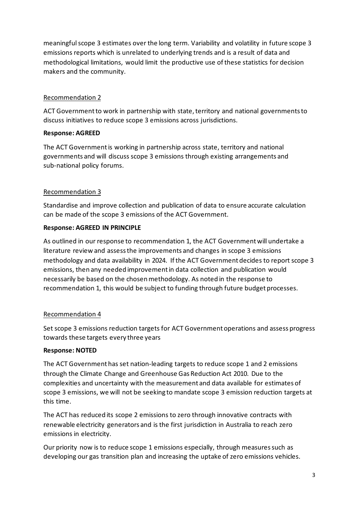meaningful scope 3 estimates over the long term. Variability and volatility in future scope 3 emissions reports which is unrelated to underlying trends and is a result of data and methodological limitations, would limit the productive use of these statistics for decision makers and the community.

## Recommendation 2

ACT Government to work in partnership with state, territory and national governments to discuss initiatives to reduce scope 3 emissions across jurisdictions.

## **Response: AGREED**

The ACT Government is working in partnership across state, territory and national governments and will discuss scope 3 emissions through existing arrangements and sub-national policy forums.

## Recommendation 3

Standardise and improve collection and publication of data to ensure accurate calculation can be made of the scope 3 emissions of the ACT Government.

## **Response: AGREED IN PRINCIPLE**

As outlined in our response to recommendation 1, the ACT Government will undertake a literature review and assess the improvements and changes in scope 3 emissions methodology and data availability in 2024. If the ACT Government decides to report scope 3 emissions, then any needed improvement in data collection and publication would necessarily be based on the chosen methodology. As noted in the response to recommendation 1, this would be subject to funding through future budget processes.

## Recommendation 4

Set scope 3 emissions reduction targets for ACT Government operations and assess progress towards these targets every three years

## **Response: NOTED**

The ACT Government has set nation-leading targets to reduce scope 1 and 2 emissions through the Climate Change and Greenhouse Gas Reduction Act 2010. Due to the complexities and uncertainty with the measurement and data available for estimates of scope 3 emissions, we will not be seeking to mandate scope 3 emission reduction targets at this time.

The ACT has reduced its scope 2 emissions to zero through innovative contracts with renewable electricity generators and is the first jurisdiction in Australia to reach zero emissions in electricity.

Our priority now is to reduce scope 1 emissions especially, through measures such as developing our gas transition plan and increasing the uptake of zero emissions vehicles.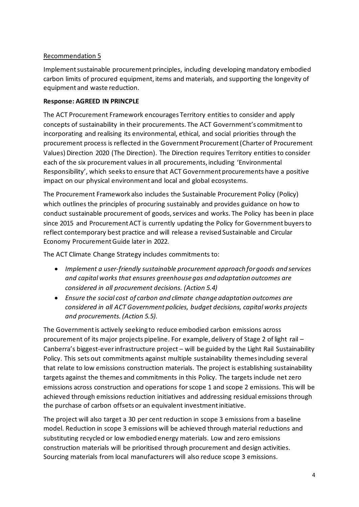# Recommendation 5

Implement sustainable procurement principles, including developing mandatory embodied carbon limits of procured equipment, items and materials, and supporting the longevity of equipment and waste reduction.

## **Response: AGREED IN PRINCPLE**

The ACT Procurement Framework encourages Territory entities to consider and apply concepts of sustainability in their procurements. The ACT Government's commitment to incorporating and realising its environmental, ethical, and social priorities through the procurement process is reflected in the Government Procurement (Charter of Procurement Values) Direction 2020 (The Direction). The Direction requires Territory entities to consider each of the six procurement values in all procurements, including 'Environmental Responsibility', which seeks to ensure that ACT Government procurements have a positive impact on our physical environment and local and global ecosystems.

The Procurement Framework also includes the Sustainable Procurement Policy (Policy) which outlines the principles of procuring sustainably and provides guidance on how to conduct sustainable procurement of goods, services and works. The Policy has been in place since 2015 and Procurement ACT is currently updating the Policy for Government buyers to reflect contemporary best practice and will release a revised Sustainable and Circular Economy Procurement Guide later in 2022.

The ACT Climate Change Strategy includes commitments to:

- *Implement a user-friendly sustainable procurement approach for goods and services and capital works that ensures greenhouse gas and adaptation outcomes are considered in all procurement decisions. (Action 5.4)*
- *Ensure the social cost of carbon and climate change adaptation outcomes are considered in all ACT Government policies, budget decisions, capital works projects and procurements. (Action 5.5).*

The Government is actively seeking to reduce embodied carbon emissions across procurement of its major projects pipeline. For example, delivery of Stage 2 of light rail – Canberra's biggest-ever infrastructure project – will be guided by the Light Rail Sustainability Policy. This sets out commitments against multiple sustainability themes including several that relate to low emissions construction materials. The project is establishing sustainability targets against the themes and commitments in this Policy. The targets include net zero emissions across construction and operations for scope 1 and scope 2 emissions. This will be achieved through emissions reduction initiatives and addressing residual emissions through the purchase of carbon offsets or an equivalent investment initiative.

The project will also target a 30 per cent reduction in scope 3 emissions from a baseline model. Reduction in scope 3 emissions will be achieved through material reductions and substituting recycled or low embodied energy materials. Low and zero emissions construction materials will be prioritised through procurement and design activities. Sourcing materials from local manufacturers will also reduce scope 3 emissions.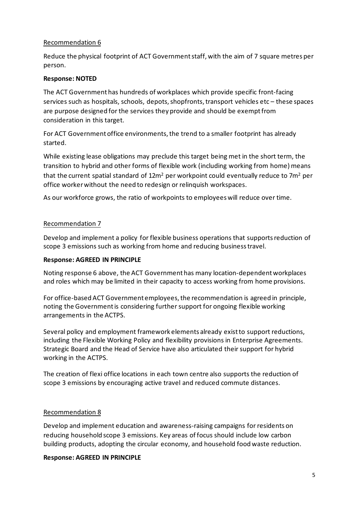### Recommendation 6

Reduce the physical footprint of ACT Government staff, with the aim of 7 square metres per person.

#### **Response: NOTED**

The ACT Government has hundreds of workplaces which provide specific front-facing services such as hospitals, schools, depots, shopfronts, transport vehicles etc – these spaces are purpose designed for the services they provide and should be exempt from consideration in this target.

For ACT Government office environments, the trend to a smaller footprint has already started.

While existing lease obligations may preclude this target being met in the short term, the transition to hybrid and other forms of flexible work (including working from home) means that the current spatial standard of  $12m^2$  per workpoint could eventually reduce to 7m<sup>2</sup> per office worker without the need to redesign or relinquish workspaces.

As our workforce grows, the ratio of workpoints to employees will reduce over time.

#### Recommendation 7

Develop and implement a policy for flexible business operations that supports reduction of scope 3 emissions such as working from home and reducing business travel.

#### **Response: AGREED IN PRINCIPLE**

Noting response 6 above, the ACT Government has many location-dependent workplaces and roles which may be limited in their capacity to access working from home provisions.

For office-based ACT Government employees, the recommendation is agreed in principle, noting the Government is considering further support for ongoing flexible working arrangements in the ACTPS.

Several policy and employment framework elements already exist to support reductions, including the Flexible Working Policy and flexibility provisions in Enterprise Agreements. Strategic Board and the Head of Service have also articulated their support for hybrid working in the ACTPS.

The creation of flexi office locations in each town centre also supports the reduction of scope 3 emissions by encouraging active travel and reduced commute distances.

## Recommendation 8

Develop and implement education and awareness-raising campaigns for residents on reducing household scope 3 emissions. Key areas of focus should include low carbon building products, adopting the circular economy, and household food waste reduction.

#### **Response: AGREED IN PRINCIPLE**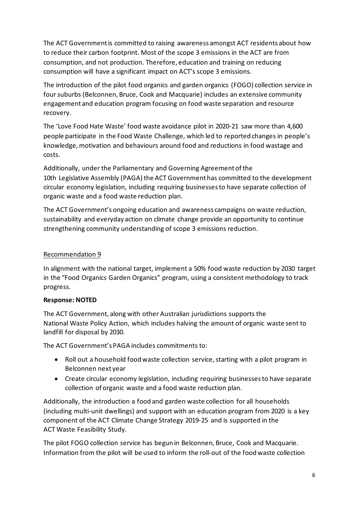The ACT Government is committed to raising awareness amongst ACT residents about how to reduce their carbon footprint. Most of the scope 3 emissions in the ACT are from consumption, and not production. Therefore, education and training on reducing consumption will have a significant impact on ACT's scope 3 emissions.

The introduction of the pilot food organics and garden organics (FOGO) collection service in foursuburbs (Belconnen, Bruce, Cook and Macquarie) includes an extensive community engagement and education program focusing on food waste separation and resource recovery.

The 'Love Food Hate Waste' food waste avoidance pilot in 2020-21 saw more than 4,600 people participate in the Food Waste Challenge, which led to reported changes in people's knowledge, motivation and behaviours around food and reductions in food wastage and costs.

Additionally, under the Parliamentary and Governing Agreement of the 10th Legislative Assembly (PAGA) the ACT Government has committed to the development circular economy legislation, including requiring businesses to have separate collection of organic waste and a food waste reduction plan.

The ACT Government's ongoing education and awareness campaigns on waste reduction, sustainability and everyday action on climate change provide an opportunity to continue strengthening community understanding of scope 3 emissions reduction.

## Recommendation 9

In alignment with the national target, implement a 50% food waste reduction by 2030 target in the "Food Organics Garden Organics" program, using a consistent methodology to track progress.

#### **Response: NOTED**

The ACT Government, along with other Australian jurisdictions supports the National Waste Policy Action, which includes halving the amount of organic waste sent to landfill for disposal by 2030.

The ACT Government's PAGA includes commitments to:

- Roll out a household food waste collection service, starting with a pilot program in Belconnen next year
- Create circular economy legislation, including requiring businesses to have separate collection of organic waste and a food waste reduction plan.

Additionally, the introduction a food and garden waste collection for all households (including multi-unit dwellings) and support with an education program from 2020 is a key component of the ACT Climate Change Strategy 2019-25 and is supported in the ACT Waste Feasibility Study.

The pilot FOGO collection service has begun in Belconnen, Bruce, Cook and Macquarie. Information from the pilot will be used to inform the roll-out of the food waste collection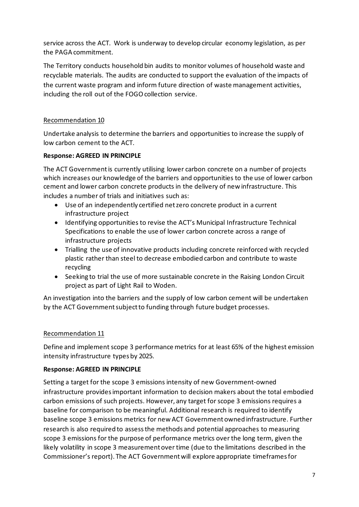service across the ACT. Work is underway to develop circular economy legislation, as per the PAGA commitment.

The Territory conducts household bin audits to monitor volumes of household waste and recyclable materials. The audits are conducted to support the evaluation of the impacts of the current waste program and inform future direction of waste management activities, including the roll out of the FOGO collection service.

# Recommendation 10

Undertake analysis to determine the barriers and opportunities to increase the supply of low carbon cement to the ACT.

## **Response: AGREED IN PRINCIPLE**

The ACT Government is currently utilising lower carbon concrete on a number of projects which increases our knowledge of the barriers and opportunities to the use of lower carbon cement and lower carbon concrete products in the delivery of new infrastructure. This includes a number of trials and initiatives such as:

- Use of an independently certified net zero concrete product in a current infrastructure project
- Identifying opportunities to revise the ACT's Municipal Infrastructure Technical Specifications to enable the use of lower carbon concrete across a range of infrastructure projects
- Trialling the use of innovative products including concrete reinforced with recycled plastic rather than steel to decrease embodied carbon and contribute to waste recycling
- Seeking to trial the use of more sustainable concrete in the Raising London Circuit project as part of Light Rail to Woden.

An investigation into the barriers and the supply of low carbon cement will be undertaken by the ACT Governmentsubject to funding through future budget processes.

## Recommendation 11

Define and implement scope 3 performance metrics for at least 65% of the highest emission intensity infrastructure types by 2025.

## **Response: AGREED IN PRINCIPLE**

Setting a target for the scope 3 emissions intensity of new Government-owned infrastructure provides important information to decision makers about the total embodied carbon emissions of such projects. However, any target for scope 3 emissions requires a baseline for comparison to be meaningful. Additional research is required to identify baseline scope 3 emissions metrics for new ACT Government owned infrastructure. Further research is also required to assess the methods and potential approaches to measuring scope 3 emissions for the purpose of performance metrics over the long term, given the likely volatility in scope 3 measurement over time (due to the limitations described in the Commissioner's report). The ACT Government will explore appropriate timeframes for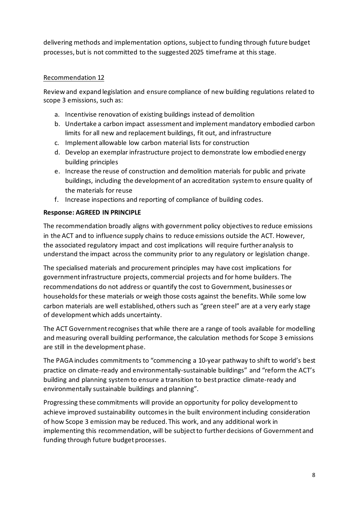delivering methods and implementation options, subject to funding through future budget processes, but is not committed to the suggested 2025 timeframe at this stage.

# Recommendation 12

Review and expand legislation and ensure compliance of new building regulations related to scope 3 emissions, such as:

- a. Incentivise renovation of existing buildings instead of demolition
- b. Undertake a carbon impact assessment and implement mandatory embodied carbon limits for all new and replacement buildings, fit out, and infrastructure
- c. Implement allowable low carbon material lists for construction
- d. Develop an exemplar infrastructure project to demonstrate low embodied energy building principles
- e. Increase the reuse of construction and demolition materials for public and private buildings, including the development of an accreditation system to ensure quality of the materials for reuse
- f. Increase inspections and reporting of compliance of building codes.

# **Response: AGREED IN PRINCIPLE**

The recommendation broadly aligns with government policy objectives to reduce emissions in the ACT and to influence supply chains to reduce emissions outside the ACT. However, the associated regulatory impact and cost implications will require further analysis to understand the impact across the community prior to any regulatory or legislation change.

The specialised materials and procurement principles may have cost implications for government infrastructure projects, commercial projects and for home builders. The recommendations do not address or quantify the cost to Government, businesses or households for these materials or weigh those costs against the benefits. While some low carbon materials are well established, others such as "green steel" are at a very early stage of development which adds uncertainty.

The ACT Government recognises that while there are a range of tools available for modelling and measuring overall building performance, the calculation methods for Scope 3 emissions are still in the development phase.

The PAGA includes commitments to "commencing a 10-year pathway to shift to world's best practice on climate-ready and environmentally-sustainable buildings" and "reform the ACT's building and planning system to ensure a transition to best practice climate-ready and environmentally sustainable buildings and planning".

Progressing these commitments will provide an opportunity for policy development to achieve improved sustainability outcomes in the built environment including consideration of how Scope 3 emission may be reduced. This work, and any additional work in implementing this recommendation, will be subject to further decisions of Government and funding through future budget processes.